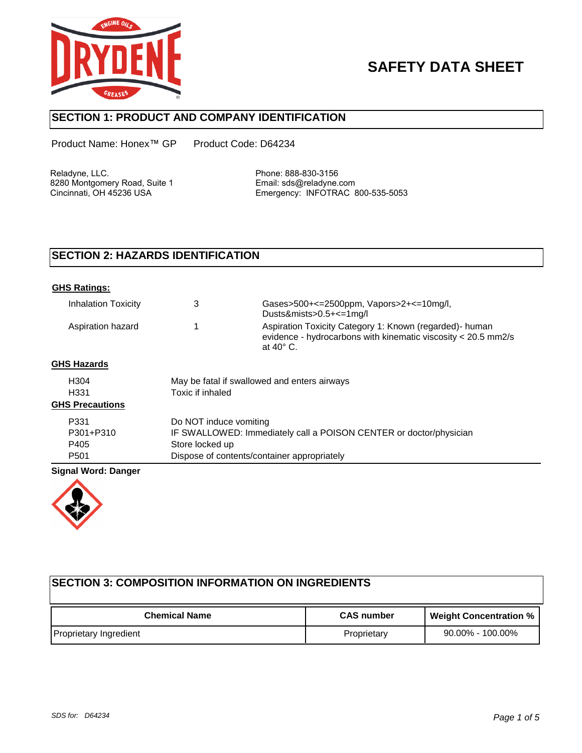

# **SAFETY DATA SHEET**

### **SECTION 1: PRODUCT AND COMPANY IDENTIFICATION**

Product Name: Honex™ GP Product Code: D64234

Reladyne, LLC. **Phone: 888-830-3156** 8280 Montgomery Road, Suite 1 Email: sds@reladyne.com<br>Cincinnati, OH 45236 USA Emergency: INFOTRAC 8

Emergency: INFOTRAC 800-535-5053

## **SECTION 2: HAZARDS IDENTIFICATION**

| <b>GHS Ratings:</b>                        |                                                                    |                                                                                                                                                |  |
|--------------------------------------------|--------------------------------------------------------------------|------------------------------------------------------------------------------------------------------------------------------------------------|--|
| <b>Inhalation Toxicity</b>                 | 3                                                                  | Gases>500+<=2500ppm, Vapors>2+<=10mg/l,<br>Dusts&mists> $0.5+<=1$ mg/l                                                                         |  |
| Aspiration hazard                          |                                                                    | Aspiration Toxicity Category 1: Known (regarded)- human<br>evidence - hydrocarbons with kinematic viscosity < 20.5 mm2/s<br>at $40^{\circ}$ C. |  |
| <b>GHS Hazards</b>                         |                                                                    |                                                                                                                                                |  |
| H <sub>304</sub>                           | May be fatal if swallowed and enters airways                       |                                                                                                                                                |  |
| H <sub>331</sub><br><b>GHS Precautions</b> | Toxic if inhaled                                                   |                                                                                                                                                |  |
| P331                                       | Do NOT induce vomiting                                             |                                                                                                                                                |  |
| P301+P310                                  | IF SWALLOWED: Immediately call a POISON CENTER or doctor/physician |                                                                                                                                                |  |
| P405                                       | Store locked up                                                    |                                                                                                                                                |  |
| P <sub>501</sub>                           | Dispose of contents/container appropriately                        |                                                                                                                                                |  |

### **Signal Word: Danger**



## **SECTION 3: COMPOSITION INFORMATION ON INGREDIENTS**

| <b>Chemical Name</b>   | <b>CAS number</b> | <b>Weight Concentration %</b> |
|------------------------|-------------------|-------------------------------|
| Proprietary Ingredient | Proprietary       | $90.00\%$ - 100.00%           |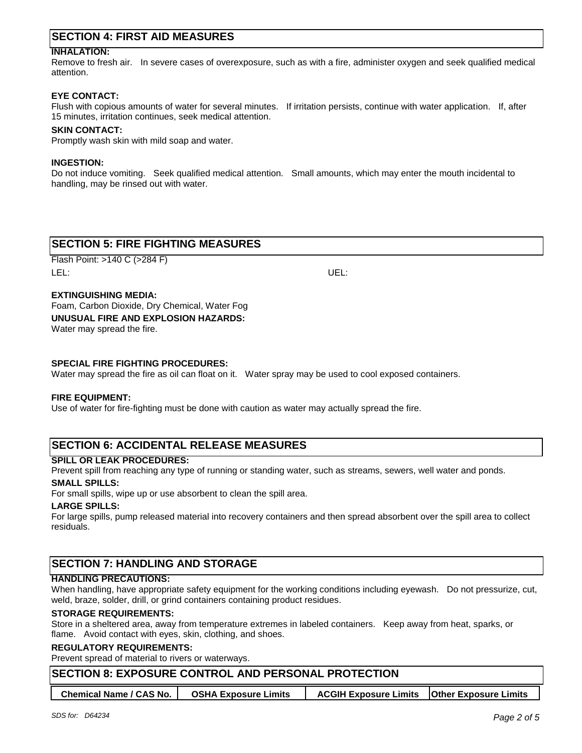### **SECTION 4: FIRST AID MEASURES**

### **INHALATION:**

Remove to fresh air. In severe cases of overexposure, such as with a fire, administer oxygen and seek qualified medical attention.

### **EYE CONTACT:**

Flush with copious amounts of water for several minutes. If irritation persists, continue with water application. If, after 15 minutes, irritation continues, seek medical attention.

### **SKIN CONTACT:**

Promptly wash skin with mild soap and water.

#### **INGESTION:**

Do not induce vomiting. Seek qualified medical attention. Small amounts, which may enter the mouth incidental to handling, may be rinsed out with water.

### **SECTION 5: FIRE FIGHTING MEASURES**

Flash Point: >140 C (>284 F)

LEL: UEL:

### **EXTINGUISHING MEDIA:**

Foam, Carbon Dioxide, Dry Chemical, Water Fog **UNUSUAL FIRE AND EXPLOSION HAZARDS:** Water may spread the fire.

### **SPECIAL FIRE FIGHTING PROCEDURES:**

Water may spread the fire as oil can float on it. Water spray may be used to cool exposed containers.

#### **FIRE EQUIPMENT:**

Use of water for fire-fighting must be done with caution as water may actually spread the fire.

### **SECTION 6: ACCIDENTAL RELEASE MEASURES**

### **SPILL OR LEAK PROCEDURES:**

Prevent spill from reaching any type of running or standing water, such as streams, sewers, well water and ponds.

#### **SMALL SPILLS:**

For small spills, wipe up or use absorbent to clean the spill area.

#### **LARGE SPILLS:**

For large spills, pump released material into recovery containers and then spread absorbent over the spill area to collect residuals.

### **SECTION 7: HANDLING AND STORAGE**

#### **HANDLING PRECAUTIONS:**

When handling, have appropriate safety equipment for the working conditions including eyewash. Do not pressurize, cut, weld, braze, solder, drill, or grind containers containing product residues.

### **STORAGE REQUIREMENTS:**

Store in a sheltered area, away from temperature extremes in labeled containers. Keep away from heat, sparks, or flame. Avoid contact with eyes, skin, clothing, and shoes.

#### **REGULATORY REQUIREMENTS:**

Prevent spread of material to rivers or waterways.

### **SECTION 8: EXPOSURE CONTROL AND PERSONAL PROTECTION**

**Chemical Name / CAS No. OSHA Exposure Limits ACGIH Exposure Limits Other Exposure Limits**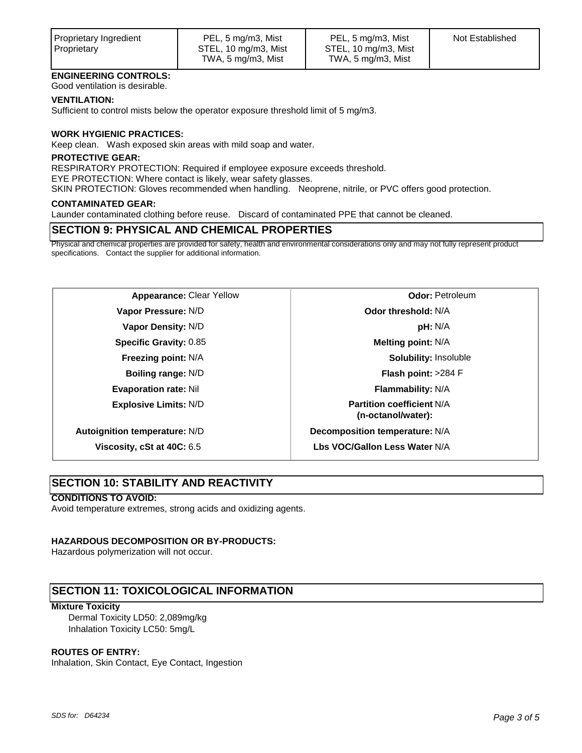| Proprietary Ingredient | PEL, 5 mg/m3, Mist   | PEL, 5 mg/m3, Mist   | Not Established |
|------------------------|----------------------|----------------------|-----------------|
| I Proprietary          | STEL, 10 mg/m3, Mist | STEL, 10 mg/m3, Mist |                 |
|                        | TWA, 5 mg/m3, Mist   | TWA, 5 mg/m3, Mist   |                 |

### **ENGINEERING CONTROLS:**

Good ventilation is desirable.

#### **VENTILATION:**

Sufficient to control mists below the operator exposure threshold limit of 5 mg/m3.

#### **WORK HYGIENIC PRACTICES:**

Keep clean. Wash exposed skin areas with mild soap and water.

#### **PROTECTIVE GEAR:**

RESPIRATORY PROTECTION: Required if employee exposure exceeds threshold. EYE PROTECTION: Where contact is likely, wear safety glasses. SKIN PROTECTION: Gloves recommended when handling. Neoprene, nitrile, or PVC offers good protection.

#### **CONTAMINATED GEAR:**

Launder contaminated clothing before reuse. Discard of contaminated PPE that cannot be cleaned.

### **SECTION 9: PHYSICAL AND CHEMICAL PROPERTIES**

Physical and chemical properties are provided for safety, health and environmental considerations only and may not fully represent product specifications. Contact the supplier for additional information.

| Odor: Peti                                             | <b>Appearance: Clear Yellow</b> |  |
|--------------------------------------------------------|---------------------------------|--|
| Odor threshold: N/A                                    | Vapor Pressure: N/D             |  |
| pH: N/A                                                | Vapor Density: N/D              |  |
| <b>Melting point: N/A</b>                              | <b>Specific Gravity: 0.85</b>   |  |
| Solubility: Inso                                       | Freezing point: N/A             |  |
| Flash point: $>28$                                     | Boiling range: N/D              |  |
| <b>Flammability: N/A</b>                               | <b>Evaporation rate: Nil</b>    |  |
| <b>Partition coefficient N/A</b><br>(n-octanol/water): | <b>Explosive Limits: N/D</b>    |  |
| Decomposition temperature: N/A                         | Autoignition temperature: N/D   |  |
| Lbs VOC/Gallon Less Water N/A                          | Viscosity, cSt at 40C: 6.5      |  |

**Ador: Petroleum Odor threshold: N/A Melting point: N/A Solubility:** Insoluble **Flash point: >284 F Flammability:** N/A **Partition coefficient N/A (n-octanol/water): Decomposition temperature:** N/A **Lbs VOC/Gallon Less Water N/A** 

## **SECTION 10: STABILITY AND REACTIVITY**

### **CONDITIONS TO AVOID:**

Avoid temperature extremes, strong acids and oxidizing agents.

#### **HAZARDOUS DECOMPOSITION OR BY-PRODUCTS:**

Hazardous polymerization will not occur.

### **SECTION 11: TOXICOLOGICAL INFORMATION**

### **Mixture Toxicity**

Dermal Toxicity LD50: 2,089mg/kg Inhalation Toxicity LC50: 5mg/L

#### **ROUTES OF ENTRY:**

Inhalation, Skin Contact, Eye Contact, Ingestion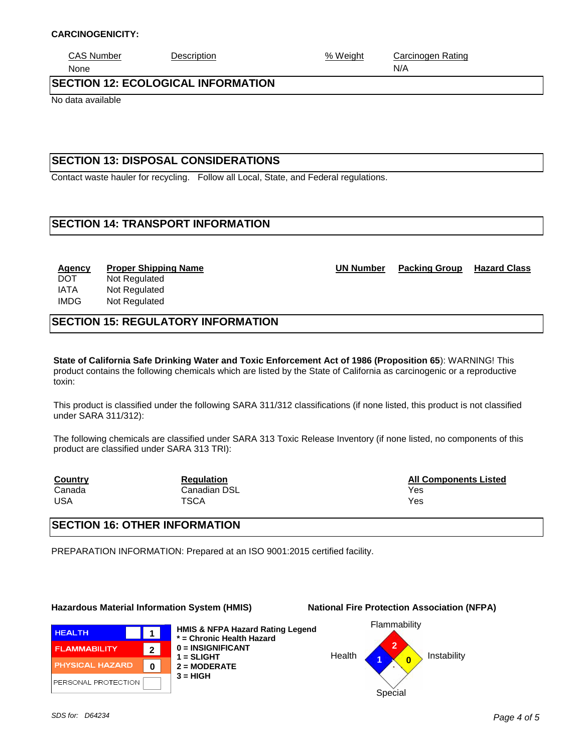### **CARCINOGENICITY:**

| <b>CAS Number</b> | Description | % Weight | Carcinogen Rating |
|-------------------|-------------|----------|-------------------|
| <b>None</b>       |             |          | N/A               |

**SECTION 12: ECOLOGICAL INFORMATION**

No data available

### **SECTION 13: DISPOSAL CONSIDERATIONS**

Contact waste hauler for recycling. Follow all Local, State, and Federal regulations.

### **SECTION 14: TRANSPORT INFORMATION**

### **Agency Proper Shipping Name UN Number Packing Group Hazard Class**

DOT Not Regulated IATA Not Regulated IMDG Not Regulated

## **SECTION 15: REGULATORY INFORMATION**

**State of California Safe Drinking Water and Toxic Enforcement Act of 1986 (Proposition 65**): WARNING! This product contains the following chemicals which are listed by the State of California as carcinogenic or a reproductive toxin:

This product is classified under the following SARA 311/312 classifications (if none listed, this product is not classified under SARA 311/312):

The following chemicals are classified under SARA 313 Toxic Release Inventory (if none listed, no components of this product are classified under SARA 313 TRI):

Canada Canadian DSL Yes USA TSCA Yes

**Country Country Regulation Regulation Regulation Regulation Regulation Regulation Regulation Regulation Regulation Regulation Regulation Regulation Regulation Regulation Regulation Regulation** 

### **SECTION 16: OTHER INFORMATION**

PREPARATION INFORMATION: Prepared at an ISO 9001:2015 certified facility.

#### **Hazardous Material Information System (HMIS) National Fire Protection Association (NFPA)**



**HMIS & NFPA Hazard Rating Legend \* = Chronic Health Hazard 0 = INSIGNIFICANT 1 = SLIGHT 2 = MODERATE 3 = HIGH**